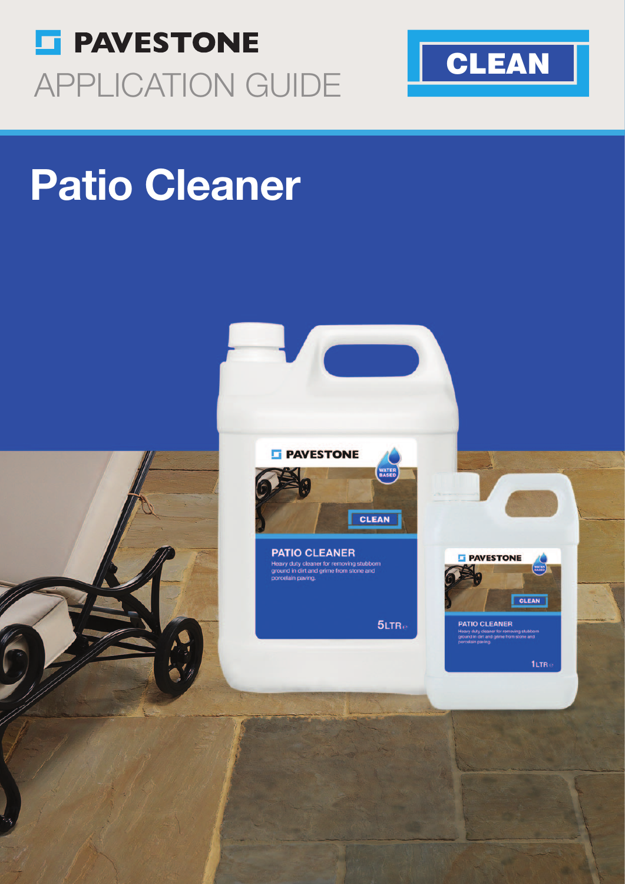



# Patio Cleaner

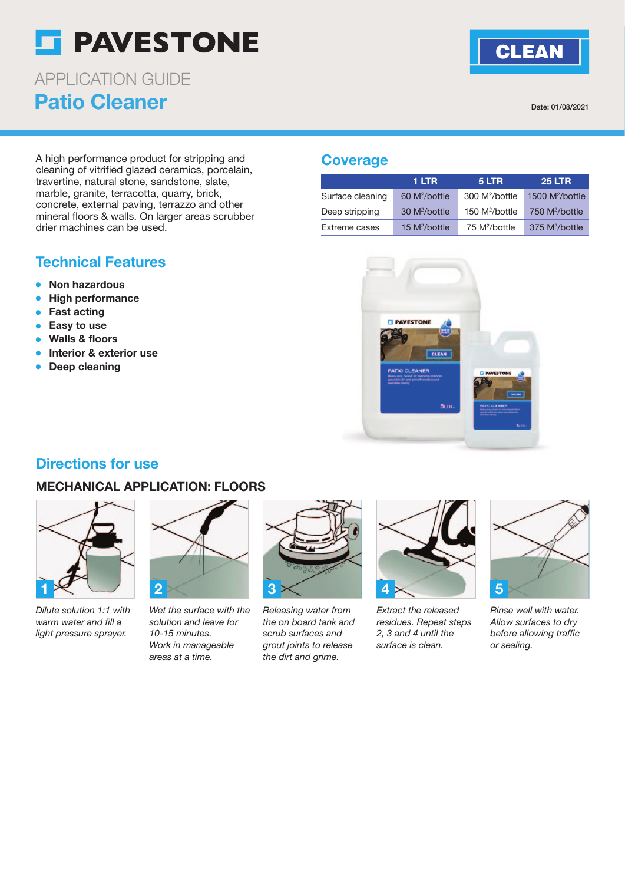# **ST PAVESTONE**

Patio Cleaner APPLICATION GUIDE

Date: 01/08/2021

**CLEAN** 

A high performance product for stripping and cleaning of vitrified glazed ceramics, porcelain, travertine, natural stone, sandstone, slate, marble, granite, terracotta, quarry, brick, concrete, external paving, terrazzo and other mineral floors & walls. On larger areas scrubber drier machines can be used.

# Technical Features

- Non hazardous
- High performance
- **Fast acting**
- Easy to use
- **Walls & floors**
- Interior & exterior use
- Deep cleaning

#### **Coverage**

|                  | 1 LTR                     | 5 LTR                      | <b>25 LTR</b>              |
|------------------|---------------------------|----------------------------|----------------------------|
| Surface cleaning | 60 M <sup>2</sup> /bottle | 300 M <sup>2</sup> /bottle | 1500 $M^2/b$ ottle         |
| Deep stripping   | 30 M <sup>2</sup> /bottle | 150 M <sup>2</sup> /bottle | 750 M <sup>2</sup> /bottle |
| Extreme cases    | 15 $M^2/b$ ottle          | 75 M <sup>2</sup> /bottle  | 375 M <sup>2</sup> /bottle |



# Directions for use

#### MECHANICAL APPLICATION: FLOORS



Dilute solution 1:1 with warm water and fill a light pressure sprayer.



Wet the surface with the solution and leave for 10-15 minutes. Work in manageable areas at a time.



Releasing water from the on board tank and scrub surfaces and grout joints to release the dirt and grime.



Extract the released residues. Repeat steps 2, 3 and 4 until the surface is clean.



Rinse well with water. Allow surfaces to dry before allowing traffic or sealing.